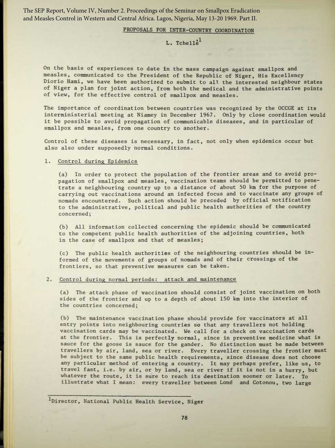The SEP Report, Volume IV, Number 2. Proceedings of the Seminar on Smallpox Eradication and Measles Control in Western and Central Africa. Lagos, Nigeria, May 13-20 1969. Part II.

## PROPOSALS FOR INTER-COUNTRY COORDINATION

## $L.$  Tchell $e^{1}$

On the basis of experiences to date in the mass campaign against smallpox and measles, communicated to the President of the Republic of Niger, His Excellency Diorio Hami, we have been authorized to submit to all the interested neighbour states of Niger a plan for joint action, from both the medical and the administrative points of view, for the effective control of smallpox and measles.

The importance of coordination between countries was recognized by the OCCGE at its interministerial meeting at Niamey in December 1967. Only by close coordination would it be possible to avoid propagation of communicable diseases, and in particular of smallpox and measles, from one country to another.

Control of these diseases is necessary, in fact, not only when epidemics occur but also also under supposedly normal conditions.

## 1. Control during Epidemics

(a) In order to protect the population of the frontier areas and to avoid propagation of smallpox and measles, vaccination teams should be permitted to penetrate a neighbouring country up to a distance of about 50 km for the purpose of carrying out vaccinations around an infected focus and to vaccinate any groups of nomads encountered. Such action should be preceded by official notification to the administrative, political and public health authorities of the country concerned;

(b) All information collected concerning the epidemic should be communicated to the competent public health authorities of the adjoining countries, both in the case of smallpox and that of measles;

(c) The public health authorities of the neighbouring countries should be informed of the movements of groups of nomads and of their crossings of the frontiers, so that preventive measures can be taken.

## 2. Control during normal periods: attack and maintenance

(a) The attack phase of vaccination should consist of joint vaccination on both sides of the frontier and up to a depth of about 150 km into the interior of the countries concerned;

(b) The maintenance vaccination phase should provide for vaccinators at all entry points into neighbouring countries so that any travellers not holding vaccination cards may be vaccinated . We call for a check on vaccination cards at the frontier. This is perfectly normal, since in preventive medicine what is sauce for the goose is sauce for the gander. No distinction must be made between travellers by air, land, sea or river. Every traveller crossing the frontier must be subject to the same public health requirements, since disease does not choose any particular method of entering a country. It may perhaps prefer, like us, to travel fast, i .e . by air, or by land, sea or river if it is not in a hurry, but whatever the route, it is sure to reach its destination sooner or later. To illustrate what I mean: every traveller between Lomé and Cotonou, two large

<sup>1</sup>Director, National Public Health Service, Niger